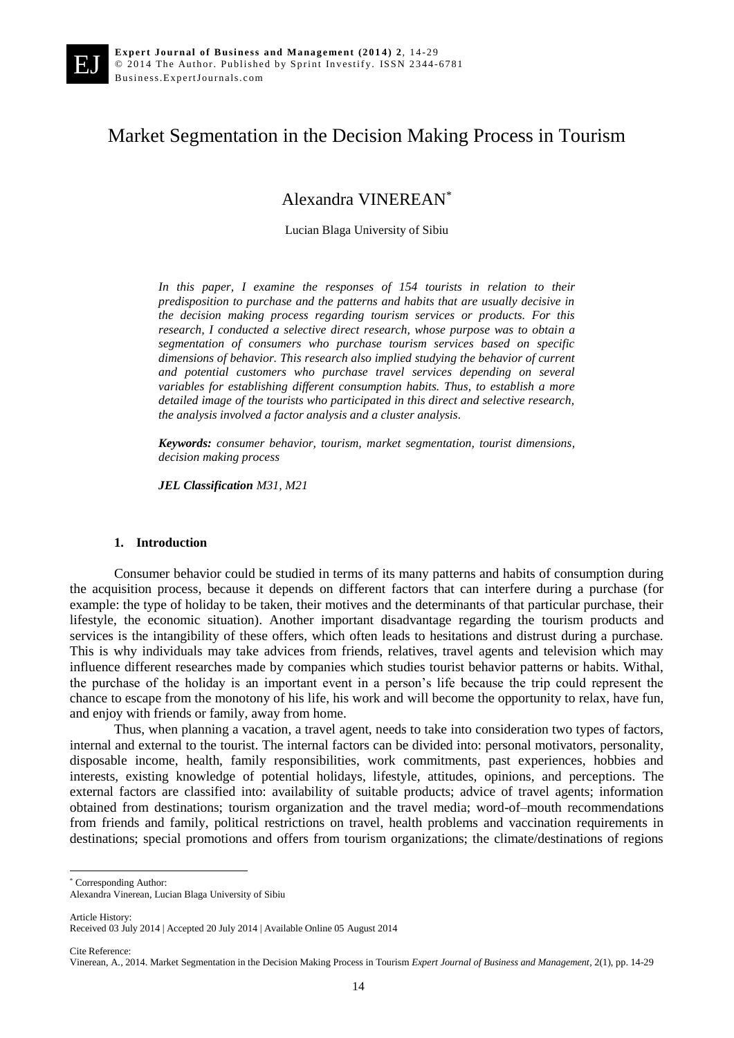# Market Segmentation in the Decision Making Process in Tourism

Alexandra VINEREAN\*

Lucian Blaga University of Sibiu

*In this paper, I examine the responses of 154 tourists in relation to their predisposition to purchase and the patterns and habits that are usually decisive in the decision making process regarding tourism services or products. For this research, I conducted a selective direct research, whose purpose was to obtain a segmentation of consumers who purchase tourism services based on specific dimensions of behavior. This research also implied studying the behavior of current and potential customers who purchase travel services depending on several variables for establishing different consumption habits. Thus, to establish a more detailed image of the tourists who participated in this direct and selective research, the analysis involved a factor analysis and a cluster analysis.*

*Keywords: consumer behavior, tourism, market segmentation, tourist dimensions, decision making process*

*JEL Classification M31, M21* 

#### **1. Introduction**

Consumer behavior could be studied in terms of its many patterns and habits of consumption during the acquisition process, because it depends on different factors that can interfere during a purchase (for example: the type of holiday to be taken, their motives and the determinants of that particular purchase, their lifestyle, the economic situation). Another important disadvantage regarding the tourism products and services is the intangibility of these offers, which often leads to hesitations and distrust during a purchase. This is why individuals may take advices from friends, relatives, travel agents and television which may influence different researches made by companies which studies tourist behavior patterns or habits. Withal, the purchase of the holiday is an important event in a person's life because the trip could represent the chance to escape from the monotony of his life, his work and will become the opportunity to relax, have fun, and enjoy with friends or family, away from home.

Thus, when planning a vacation, a travel agent, needs to take into consideration two types of factors, internal and external to the tourist. The internal factors can be divided into: personal motivators, personality, disposable income, health, family responsibilities, work commitments, past experiences, hobbies and interests, existing knowledge of potential holidays, lifestyle, attitudes, opinions, and perceptions. The external factors are classified into: availability of suitable products; advice of travel agents; information obtained from destinations; tourism organization and the travel media; word-of–mouth recommendations from friends and family, political restrictions on travel, health problems and vaccination requirements in destinations; special promotions and offers from tourism organizations; the climate/destinations of regions

\* Corresponding Author:

Article History:

1

Cite Reference:

Alexandra Vinerean, Lucian Blaga University of Sibiu

Received 03 July 2014 | Accepted 20 July 2014 | Available Online 05 August 2014

Vinerean, A., 2014. Market Segmentation in the Decision Making Process in Tourism *Expert Journal of Business and Management*, 2(1), pp. 14-29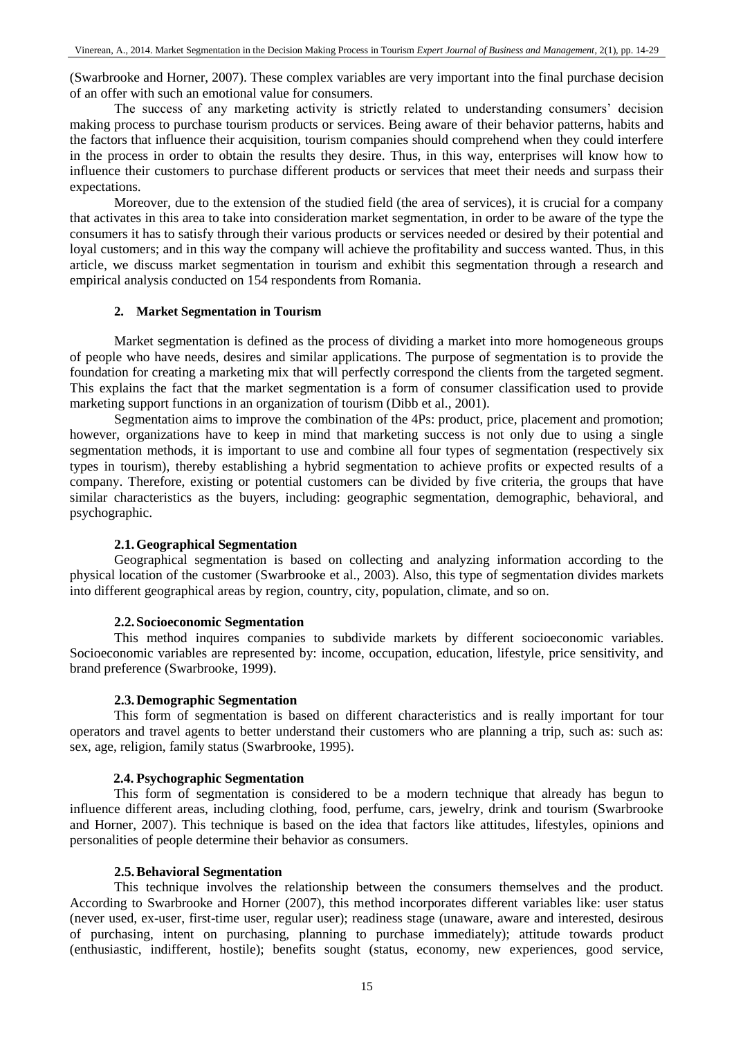(Swarbrooke and Horner, 2007). These complex variables are very important into the final purchase decision of an offer with such an emotional value for consumers.

The success of any marketing activity is strictly related to understanding consumers' decision making process to purchase tourism products or services. Being aware of their behavior patterns, habits and the factors that influence their acquisition, tourism companies should comprehend when they could interfere in the process in order to obtain the results they desire. Thus, in this way, enterprises will know how to influence their customers to purchase different products or services that meet their needs and surpass their expectations.

Moreover, due to the extension of the studied field (the area of services), it is crucial for a company that activates in this area to take into consideration market segmentation, in order to be aware of the type the consumers it has to satisfy through their various products or services needed or desired by their potential and loyal customers; and in this way the company will achieve the profitability and success wanted. Thus, in this article, we discuss market segmentation in tourism and exhibit this segmentation through a research and empirical analysis conducted on 154 respondents from Romania.

### **2. Market Segmentation in Tourism**

Market segmentation is defined as the process of dividing a market into more homogeneous groups of people who have needs, desires and similar applications. The purpose of segmentation is to provide the foundation for creating a marketing mix that will perfectly correspond the clients from the targeted segment. This explains the fact that the market segmentation is a form of consumer classification used to provide marketing support functions in an organization of tourism (Dibb et al., 2001).

Segmentation aims to improve the combination of the 4Ps: product, price, placement and promotion; however, organizations have to keep in mind that marketing success is not only due to using a single segmentation methods, it is important to use and combine all four types of segmentation (respectively six types in tourism), thereby establishing a hybrid segmentation to achieve profits or expected results of a company. Therefore, existing or potential customers can be divided by five criteria, the groups that have similar characteristics as the buyers, including: geographic segmentation, demographic, behavioral, and psychographic.

#### **2.1.Geographical Segmentation**

Geographical segmentation is based on collecting and analyzing information according to the physical location of the customer (Swarbrooke et al., 2003). Also, this type of segmentation divides markets into different geographical areas by region, country, city, population, climate, and so on.

#### **2.2.Socioeconomic Segmentation**

This method inquires companies to subdivide markets by different socioeconomic variables. Socioeconomic variables are represented by: income, occupation, education, lifestyle, price sensitivity, and brand preference (Swarbrooke, 1999).

# **2.3.Demographic Segmentation**

This form of segmentation is based on different characteristics and is really important for tour operators and travel agents to better understand their customers who are planning a trip, such as: such as: sex, age, religion, family status (Swarbrooke, 1995).

### **2.4. Psychographic Segmentation**

This form of segmentation is considered to be a modern technique that already has begun to influence different areas, including clothing, food, perfume, cars, jewelry, drink and tourism (Swarbrooke and Horner, 2007). This technique is based on the idea that factors like attitudes, lifestyles, opinions and personalities of people determine their behavior as consumers.

### **2.5.Behavioral Segmentation**

This technique involves the relationship between the consumers themselves and the product. According to Swarbrooke and Horner (2007), this method incorporates different variables like: user status (never used, ex-user, first-time user, regular user); readiness stage (unaware, aware and interested, desirous of purchasing, intent on purchasing, planning to purchase immediately); attitude towards product (enthusiastic, indifferent, hostile); benefits sought (status, economy, new experiences, good service,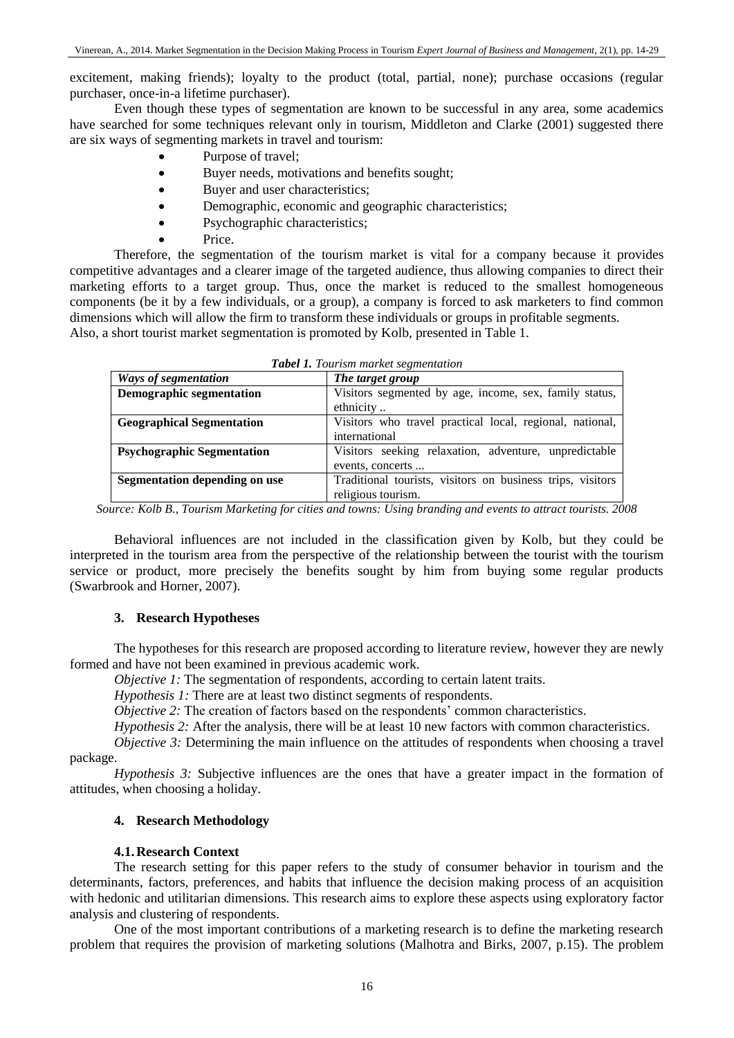excitement, making friends); loyalty to the product (total, partial, none); purchase occasions (regular purchaser, once-in-a lifetime purchaser).

Even though these types of segmentation are known to be successful in any area, some academics have searched for some techniques relevant only in tourism, Middleton and Clarke (2001) suggested there are six ways of segmenting markets in travel and tourism:

- Purpose of travel;
- Buyer needs, motivations and benefits sought;
- Buyer and user characteristics;
- Demographic, economic and geographic characteristics;
- Psychographic characteristics;
	- Price.

Therefore, the segmentation of the tourism market is vital for a company because it provides competitive advantages and a clearer image of the targeted audience, thus allowing companies to direct their marketing efforts to a target group. Thus, once the market is reduced to the smallest homogeneous components (be it by a few individuals, or a group), a company is forced to ask marketers to find common dimensions which will allow the firm to transform these individuals or groups in profitable segments. Also, a short tourist market segmentation is promoted by Kolb, presented in Table 1.

| Ways of segmentation              | The target group                                           |  |  |  |  |  |
|-----------------------------------|------------------------------------------------------------|--|--|--|--|--|
| <b>Demographic segmentation</b>   | Visitors segmented by age, income, sex, family status,     |  |  |  |  |  |
|                                   | ethnicity                                                  |  |  |  |  |  |
| <b>Geographical Segmentation</b>  | Visitors who travel practical local, regional, national,   |  |  |  |  |  |
|                                   | international                                              |  |  |  |  |  |
| <b>Psychographic Segmentation</b> | Visitors seeking relaxation, adventure, unpredictable      |  |  |  |  |  |
|                                   | events, concerts                                           |  |  |  |  |  |
| Segmentation depending on use     | Traditional tourists, visitors on business trips, visitors |  |  |  |  |  |
|                                   | religious tourism.                                         |  |  |  |  |  |

| <b>Tabel 1.</b> Tourism market segmentation |  |
|---------------------------------------------|--|
|---------------------------------------------|--|

*Source: Kolb B., Tourism Marketing for cities and towns: Using branding and events to attract tourists. 2008*

Behavioral influences are not included in the classification given by Kolb, but they could be interpreted in the tourism area from the perspective of the relationship between the tourist with the tourism service or product, more precisely the benefits sought by him from buying some regular products (Swarbrook and Horner, 2007).

# **3. Research Hypotheses**

The hypotheses for this research are proposed according to literature review, however they are newly formed and have not been examined in previous academic work.

*Objective 1:* The segmentation of respondents, according to certain latent traits.

*Hypothesis 1:* There are at least two distinct segments of respondents.

*Objective 2:* The creation of factors based on the respondents' common characteristics.

*Hypothesis 2:* After the analysis, there will be at least 10 new factors with common characteristics.

*Objective 3:* Determining the main influence on the attitudes of respondents when choosing a travel package.

*Hypothesis 3:* Subjective influences are the ones that have a greater impact in the formation of attitudes, when choosing a holiday.

# **4. Research Methodology**

# **4.1.Research Context**

The research setting for this paper refers to the study of consumer behavior in tourism and the determinants, factors, preferences, and habits that influence the decision making process of an acquisition with hedonic and utilitarian dimensions. This research aims to explore these aspects using exploratory factor analysis and clustering of respondents.

One of the most important contributions of a marketing research is to define the marketing research problem that requires the provision of marketing solutions (Malhotra and Birks, 2007, p.15). The problem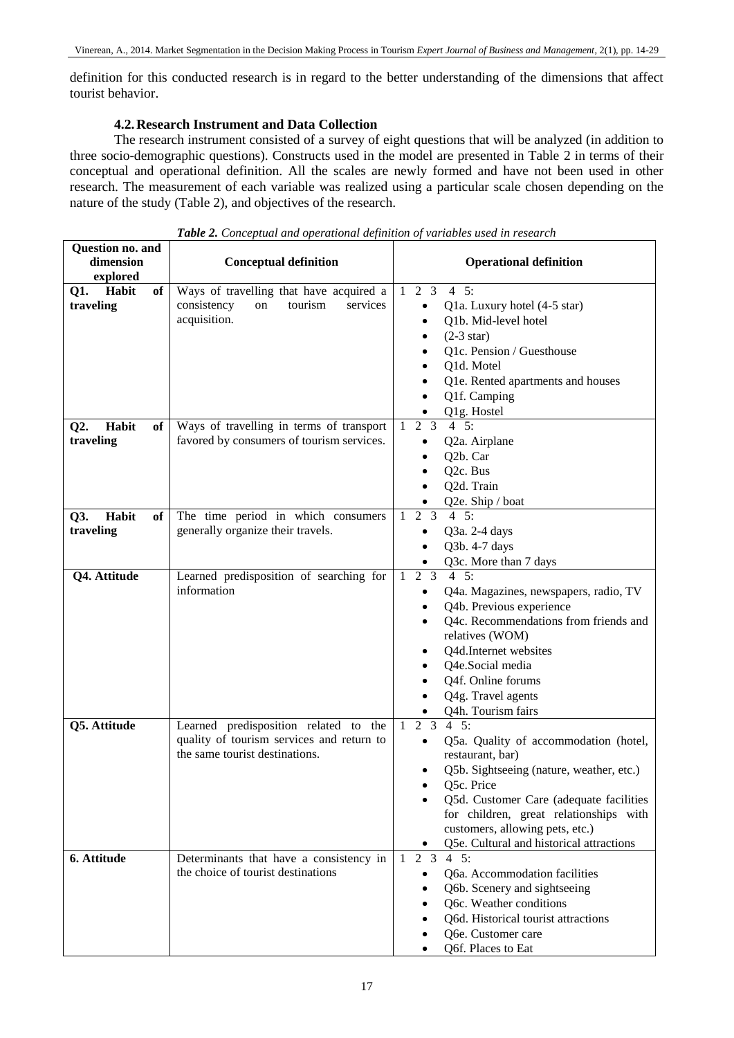definition for this conducted research is in regard to the better understanding of the dimensions that affect tourist behavior.

# **4.2.Research Instrument and Data Collection**

The research instrument consisted of a survey of eight questions that will be analyzed (in addition to three socio-demographic questions). Constructs used in the model are presented in Table 2 in terms of their conceptual and operational definition. All the scales are newly formed and have not been used in other research. The measurement of each variable was realized using a particular scale chosen depending on the nature of the study (Table 2), and objectives of the research.

| Question no. and<br>dimension<br>explored | <b>Conceptual definition</b>                                                                                         | <b>Operational definition</b>                                                                                                                                                                                                                                                                                                                         |  |  |  |
|-------------------------------------------|----------------------------------------------------------------------------------------------------------------------|-------------------------------------------------------------------------------------------------------------------------------------------------------------------------------------------------------------------------------------------------------------------------------------------------------------------------------------------------------|--|--|--|
| Habit<br>of<br>Q1.<br>traveling           | Ways of travelling that have acquired a<br>consistency<br>tourism<br>services<br>on<br>acquisition.                  | $4\quad 5:$<br>$1\quad 2\quad 3$<br>Q1a. Luxury hotel (4-5 star)<br>$\bullet$<br>Q1b. Mid-level hotel<br>$\bullet$<br>$(2-3 \text{ star})$<br>$\bullet$<br>Q1c. Pension / Guesthouse<br>Q1d. Motel<br>Q1e. Rented apartments and houses<br>Q1f. Camping<br>Q1g. Hostel                                                                                |  |  |  |
| Habit<br>Q2.<br>of<br>traveling           | Ways of travelling in terms of transport<br>favored by consumers of tourism services.                                | $4 \quad 5:$<br>$2 \quad 3$<br>1<br>Q2a. Airplane<br>Q2b. Car<br>Q2c. Bus<br>Q2d. Train<br>Q2e. Ship / boat                                                                                                                                                                                                                                           |  |  |  |
| Habit<br>Q3.<br>of<br>traveling           | The time period in which consumers<br>generally organize their travels.                                              | $4\;\;5:$<br>$\mathbf{2}$<br>3<br>Q3a. 2-4 days<br>Q3b. 4-7 days<br>Q3c. More than 7 days                                                                                                                                                                                                                                                             |  |  |  |
| Q4. Attitude                              | Learned predisposition of searching for<br>information                                                               | 2 <sub>3</sub><br>$4\quad 5:$<br>1<br>Q4a. Magazines, newspapers, radio, TV<br>٠<br>Q4b. Previous experience<br>٠<br>Q4c. Recommendations from friends and<br>relatives (WOM)<br>Q4d.Internet websites<br>٠<br>Q4e.Social media<br>Q4f. Online forums<br>Q4g. Travel agents<br>Q4h. Tourism fairs                                                     |  |  |  |
| Q5. Attitude                              | Learned predisposition related to the<br>quality of tourism services and return to<br>the same tourist destinations. | $4\quad 5:$<br>2 <sub>3</sub><br>$\mathbf{1}$<br>Q5a. Quality of accommodation (hotel,<br>$\bullet$<br>restaurant, bar)<br>Q5b. Sightseeing (nature, weather, etc.)<br>Q5c. Price<br>Q5d. Customer Care (adequate facilities<br>for children, great relationships with<br>customers, allowing pets, etc.)<br>Q5e. Cultural and historical attractions |  |  |  |
| 6. Attitude                               | Determinants that have a consistency in<br>the choice of tourist destinations                                        | 2 <sub>3</sub><br>$4\quad 5:$<br>-1<br>Q6a. Accommodation facilities<br>$\bullet$<br>Q6b. Scenery and sightseeing<br>$\bullet$<br>Q6c. Weather conditions<br>$\bullet$<br>Q6d. Historical tourist attractions<br>Q6e. Customer care<br>Q6f. Places to Eat                                                                                             |  |  |  |

*Table 2. Conceptual and operational definition of variables used in research*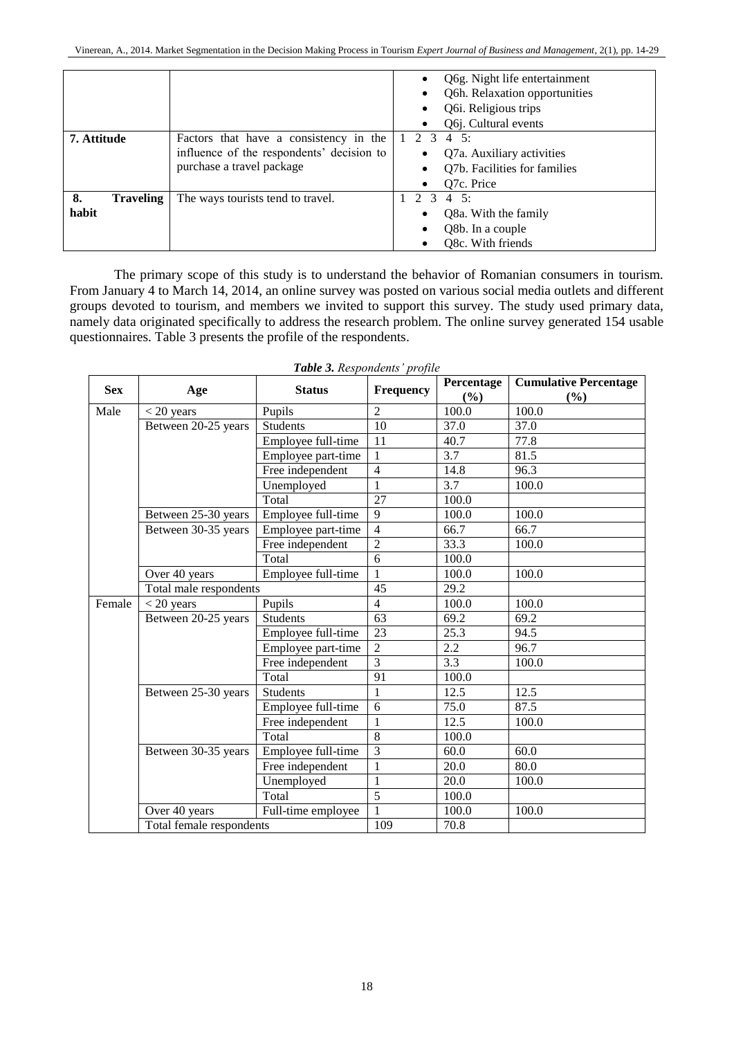|                                 |                                                                                                                  | Q6g. Night life entertainment<br>$\bullet$<br>Q6h. Relaxation opportunities<br>Q6i. Religious trips<br>$\bullet$<br>Q6j. Cultural events<br>$\bullet$ |
|---------------------------------|------------------------------------------------------------------------------------------------------------------|-------------------------------------------------------------------------------------------------------------------------------------------------------|
| 7. Attitude                     | Factors that have a consistency in the<br>influence of the respondents' decision to<br>purchase a travel package | 2 3<br>$4\;\;5:$<br>Q7a. Auxiliary activities<br>Q7b. Facilities for families<br>O <sub>7</sub> c. Price                                              |
| 8.<br><b>Traveling</b><br>habit | The ways tourists tend to travel.                                                                                | 23<br>$4\;\;5:$<br>Q8a. With the family<br>Q8b. In a couple<br>٠<br>Q8c. With friends                                                                 |

The primary scope of this study is to understand the behavior of Romanian consumers in tourism. From January 4 to March 14, 2014, an online survey was posted on various social media outlets and different groups devoted to tourism, and members we invited to support this survey. The study used primary data, namely data originated specifically to address the research problem. The online survey generated 154 usable questionnaires. Table 3 presents the profile of the respondents.

| <b>Sex</b> | Age                      | <b>Status</b>      | Frequency       | Percentage<br>(%) | <b>Cumulative Percentage</b><br>$($ %) |
|------------|--------------------------|--------------------|-----------------|-------------------|----------------------------------------|
| Male       | $<$ 20 years             | Pupils             | $\mathfrak{D}$  | 100.0             | 100.0                                  |
|            | Between 20-25 years      | <b>Students</b>    | $\overline{10}$ | 37.0              | 37.0                                   |
|            |                          | Employee full-time | 11              | 40.7              | 77.8                                   |
|            |                          | Employee part-time | $\mathbf{1}$    | 3.7               | 81.5                                   |
|            |                          | Free independent   | $\overline{4}$  | 14.8              | 96.3                                   |
|            |                          | Unemployed         | 1               | 3.7               | 100.0                                  |
|            |                          | Total              | 27              | 100.0             |                                        |
|            | Between 25-30 years      | Employee full-time | 9               | 100.0             | 100.0                                  |
|            | Between 30-35 years      | Employee part-time | $\overline{4}$  | 66.7              | 66.7                                   |
|            |                          | Free independent   | $\overline{2}$  | 33.3              | 100.0                                  |
|            |                          | Total              | 6               | 100.0             |                                        |
|            | Over 40 years            | Employee full-time | 1               | 100.0             | 100.0                                  |
|            | Total male respondents   |                    | 45              | 29.2              |                                        |
| Female     | $<$ 20 years             | Pupils             | $\overline{4}$  | 100.0             | 100.0                                  |
|            | Between 20-25 years      | <b>Students</b>    | 63              | 69.2              | 69.2                                   |
|            |                          | Employee full-time | 23              | 25.3              | 94.5                                   |
|            |                          | Employee part-time | $\overline{c}$  | 2.2               | 96.7                                   |
|            |                          | Free independent   | 3               | 3.3               | 100.0                                  |
|            |                          | Total              | 91              | 100.0             |                                        |
|            | Between 25-30 years      | <b>Students</b>    | 1               | 12.5              | 12.5                                   |
|            |                          | Employee full-time | 6               | 75.0              | 87.5                                   |
|            |                          | Free independent   | $\mathbf{1}$    | 12.5              | 100.0                                  |
|            |                          | Total              | 8               | 100.0             |                                        |
|            | Between 30-35 years      | Employee full-time | 3               | 60.0              | 60.0                                   |
|            |                          | Free independent   | $\mathbf{1}$    | 20.0              | 80.0                                   |
|            |                          | Unemployed         | 1               | 20.0              | 100.0                                  |
|            |                          | Total              | $\overline{5}$  | 100.0             |                                        |
|            | Over 40 years            | Full-time employee | 1               | 100.0             | 100.0                                  |
|            | Total female respondents |                    | 109             | 70.8              |                                        |

*Table 3. Respondents' profile*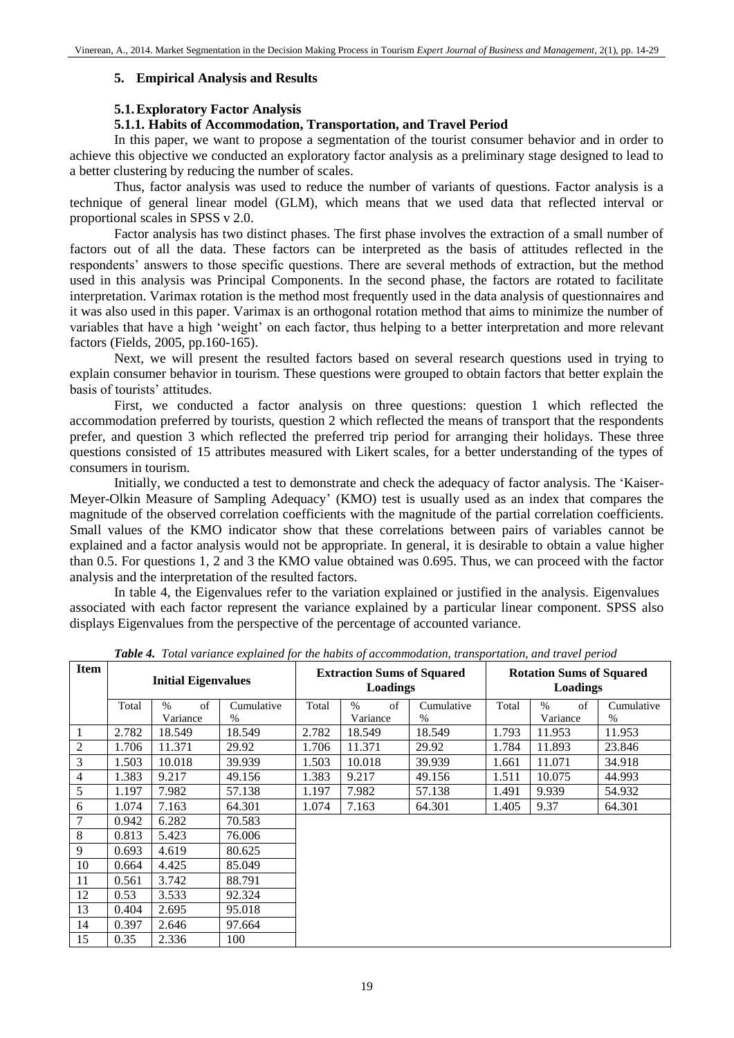# **5. Empirical Analysis and Results**

# **5.1.Exploratory Factor Analysis**

# **5.1.1. Habits of Accommodation, Transportation, and Travel Period**

In this paper, we want to propose a segmentation of the tourist consumer behavior and in order to achieve this objective we conducted an exploratory factor analysis as a preliminary stage designed to lead to a better clustering by reducing the number of scales.

Thus, factor analysis was used to reduce the number of variants of questions. Factor analysis is a technique of general linear model (GLM), which means that we used data that reflected interval or proportional scales in SPSS v 2.0.

Factor analysis has two distinct phases. The first phase involves the extraction of a small number of factors out of all the data. These factors can be interpreted as the basis of attitudes reflected in the respondents' answers to those specific questions. There are several methods of extraction, but the method used in this analysis was Principal Components. In the second phase, the factors are rotated to facilitate interpretation. Varimax rotation is the method most frequently used in the data analysis of questionnaires and it was also used in this paper. Varimax is an orthogonal rotation method that aims to minimize the number of variables that have a high 'weight' on each factor, thus helping to a better interpretation and more relevant factors (Fields, 2005, pp.160-165).

Next, we will present the resulted factors based on several research questions used in trying to explain consumer behavior in tourism. These questions were grouped to obtain factors that better explain the basis of tourists' attitudes.

First, we conducted a factor analysis on three questions: question 1 which reflected the accommodation preferred by tourists, question 2 which reflected the means of transport that the respondents prefer, and question 3 which reflected the preferred trip period for arranging their holidays. These three questions consisted of 15 attributes measured with Likert scales, for a better understanding of the types of consumers in tourism.

Initially, we conducted a test to demonstrate and check the adequacy of factor analysis. The 'Kaiser-Meyer-Olkin Measure of Sampling Adequacy' (KMO) test is usually used as an index that compares the magnitude of the observed correlation coefficients with the magnitude of the partial correlation coefficients. Small values of the KMO indicator show that these correlations between pairs of variables cannot be explained and a factor analysis would not be appropriate. In general, it is desirable to obtain a value higher than 0.5. For questions 1, 2 and 3 the KMO value obtained was 0.695. Thus, we can proceed with the factor analysis and the interpretation of the resulted factors.

In table 4, the Eigenvalues refer to the variation explained or justified in the analysis. Eigenvalues associated with each factor represent the variance explained by a particular linear component. SPSS also displays Eigenvalues from the perspective of the percentage of accounted variance.

| <b>Item</b>    | <b>Initial Eigenvalues</b> |            |            | <b>Extraction Sums of Squared</b><br>Loadings |            |            | <b>Rotation Sums of Squared</b><br>Loadings |            |            |
|----------------|----------------------------|------------|------------|-----------------------------------------------|------------|------------|---------------------------------------------|------------|------------|
|                | Total                      | of<br>$\%$ | Cumulative | Total                                         | $\%$<br>of | Cumulative | Total                                       | $\%$<br>of | Cumulative |
|                |                            | Variance   | $\%$       |                                               | Variance   | %          |                                             | Variance   | $\%$       |
| 1              | 2.782                      | 18.549     | 18.549     | 2.782                                         | 18.549     | 18.549     | 1.793                                       | 11.953     | 11.953     |
| $\overline{c}$ | 1.706                      | 11.371     | 29.92      | 1.706                                         | 11.371     | 29.92      | 1.784                                       | 11.893     | 23.846     |
| 3              | 1.503                      | 10.018     | 39.939     | 1.503                                         | 10.018     | 39.939     | 1.661                                       | 11.071     | 34.918     |
| $\overline{4}$ | 1.383                      | 9.217      | 49.156     | 1.383                                         | 9.217      | 49.156     | 1.511                                       | 10.075     | 44.993     |
| 5              | 1.197                      | 7.982      | 57.138     | 1.197                                         | 7.982      | 57.138     | 1.491                                       | 9.939      | 54.932     |
| 6              | 1.074                      | 7.163      | 64.301     | 1.074                                         | 7.163      | 64.301     | 1.405                                       | 9.37       | 64.301     |
| 7              | 0.942                      | 6.282      | 70.583     |                                               |            |            |                                             |            |            |
| 8              | 0.813                      | 5.423      | 76.006     |                                               |            |            |                                             |            |            |
| 9              | 0.693                      | 4.619      | 80.625     |                                               |            |            |                                             |            |            |
| 10             | 0.664                      | 4.425      | 85.049     |                                               |            |            |                                             |            |            |
| 11             | 0.561                      | 3.742      | 88.791     |                                               |            |            |                                             |            |            |
| 12             | 0.53                       | 3.533      | 92.324     |                                               |            |            |                                             |            |            |
| 13             | 0.404                      | 2.695      | 95.018     |                                               |            |            |                                             |            |            |
| 14             | 0.397                      | 2.646      | 97.664     |                                               |            |            |                                             |            |            |
| 15             | 0.35                       | 2.336      | 100        |                                               |            |            |                                             |            |            |

*Table 4. Total variance explained for the habits of accommodation, transportation, and travel period*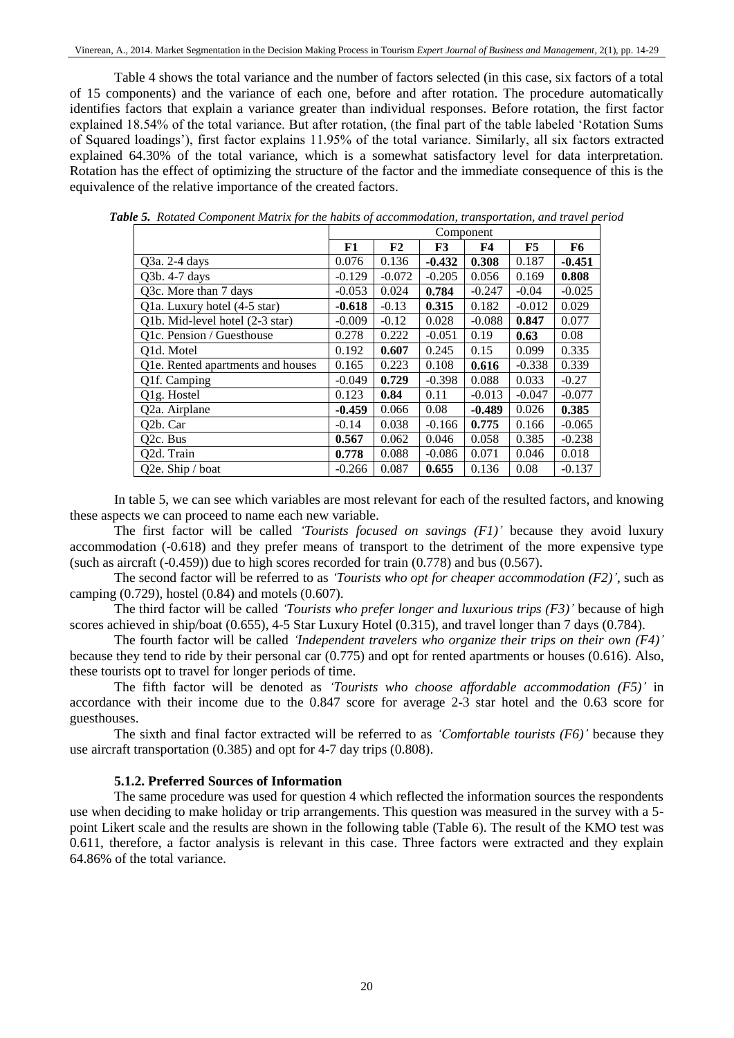Table 4 shows the total variance and the number of factors selected (in this case, six factors of a total of 15 components) and the variance of each one, before and after rotation. The procedure automatically identifies factors that explain a variance greater than individual responses. Before rotation, the first factor explained 18.54% of the total variance. But after rotation, (the final part of the table labeled 'Rotation Sums of Squared loadings'), first factor explains 11.95% of the total variance. Similarly, all six factors extracted explained 64.30% of the total variance, which is a somewhat satisfactory level for data interpretation. Rotation has the effect of optimizing the structure of the factor and the immediate consequence of this is the equivalence of the relative importance of the created factors.

|                                   |          | Component |                |           |          |          |  |  |
|-----------------------------------|----------|-----------|----------------|-----------|----------|----------|--|--|
|                                   | F1       | F2        | F <sub>3</sub> | <b>F4</b> | F5       | F6       |  |  |
| Q3a. 2-4 days                     | 0.076    | 0.136     | $-0.432$       | 0.308     | 0.187    | $-0.451$ |  |  |
| Q3b. 4-7 days                     | $-0.129$ | $-0.072$  | $-0.205$       | 0.056     | 0.169    | 0.808    |  |  |
| Q3c. More than 7 days             | $-0.053$ | 0.024     | 0.784          | $-0.247$  | $-0.04$  | $-0.025$ |  |  |
| Q1a. Luxury hotel (4-5 star)      | $-0.618$ | $-0.13$   | 0.315          | 0.182     | $-0.012$ | 0.029    |  |  |
| Q1b. Mid-level hotel (2-3 star)   | $-0.009$ | $-0.12$   | 0.028          | $-0.088$  | 0.847    | 0.077    |  |  |
| Q1c. Pension / Guesthouse         | 0.278    | 0.222     | $-0.051$       | 0.19      | 0.63     | 0.08     |  |  |
| O1d. Motel                        | 0.192    | 0.607     | 0.245          | 0.15      | 0.099    | 0.335    |  |  |
| Q1e. Rented apartments and houses | 0.165    | 0.223     | 0.108          | 0.616     | $-0.338$ | 0.339    |  |  |
| Q1f. Camping                      | $-0.049$ | 0.729     | $-0.398$       | 0.088     | 0.033    | $-0.27$  |  |  |
| Q1g. Hostel                       | 0.123    | 0.84      | 0.11           | $-0.013$  | $-0.047$ | $-0.077$ |  |  |
| Q2a. Airplane                     | $-0.459$ | 0.066     | 0.08           | $-0.489$  | 0.026    | 0.385    |  |  |
| Q2b. Car                          | $-0.14$  | 0.038     | $-0.166$       | 0.775     | 0.166    | $-0.065$ |  |  |
| Q <sub>2</sub> c. Bus             | 0.567    | 0.062     | 0.046          | 0.058     | 0.385    | $-0.238$ |  |  |
| Q2d. Train                        | 0.778    | 0.088     | $-0.086$       | 0.071     | 0.046    | 0.018    |  |  |
| Q2e. Ship / boat                  | $-0.266$ | 0.087     | 0.655          | 0.136     | 0.08     | $-0.137$ |  |  |

*Table 5. Rotated Component Matrix for the habits of accommodation, transportation, and travel period*

In table 5, we can see which variables are most relevant for each of the resulted factors, and knowing these aspects we can proceed to name each new variable.

The first factor will be called *'Tourists focused on savings (F1)'* because they avoid luxury accommodation (-0.618) and they prefer means of transport to the detriment of the more expensive type (such as aircraft  $(-0.459)$ ) due to high scores recorded for train  $(0.778)$  and bus  $(0.567)$ .

The second factor will be referred to as *'Tourists who opt for cheaper accommodation (F2)'*, such as camping (0.729), hostel (0.84) and motels (0.607).

The third factor will be called *'Tourists who prefer longer and luxurious trips (F3)'* because of high scores achieved in ship/boat (0.655), 4-5 Star Luxury Hotel (0.315), and travel longer than 7 days (0.784).

The fourth factor will be called *'Independent travelers who organize their trips on their own (F4)'* because they tend to ride by their personal car (0.775) and opt for rented apartments or houses (0.616). Also, these tourists opt to travel for longer periods of time.

The fifth factor will be denoted as *'Tourists who choose affordable accommodation (F5)'* in accordance with their income due to the 0.847 score for average 2-3 star hotel and the 0.63 score for guesthouses.

The sixth and final factor extracted will be referred to as *'Comfortable tourists (F6)'* because they use aircraft transportation (0.385) and opt for 4-7 day trips (0.808).

# **5.1.2. Preferred Sources of Information**

The same procedure was used for question 4 which reflected the information sources the respondents use when deciding to make holiday or trip arrangements. This question was measured in the survey with a 5 point Likert scale and the results are shown in the following table (Table 6). The result of the KMO test was 0.611, therefore, a factor analysis is relevant in this case. Three factors were extracted and they explain 64.86% of the total variance.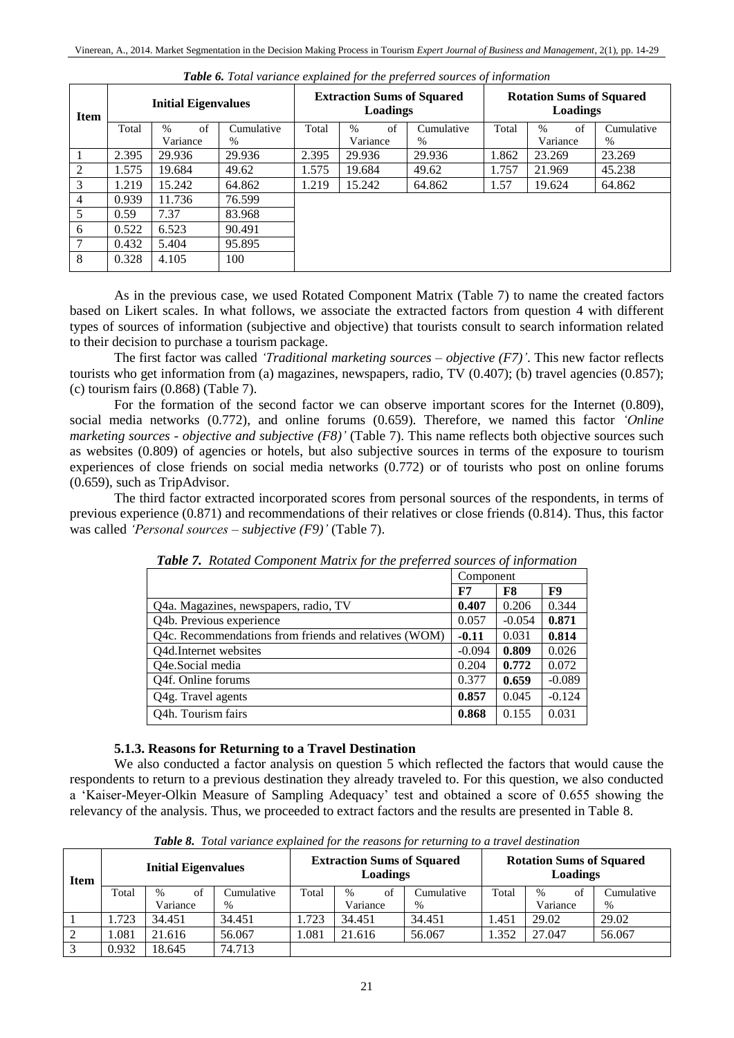| <b>Item</b>    | <b>Initial Eigenvalues</b> |            |            | <b>Extraction Sums of Squared</b><br>Loadings |            |            | <b>Rotation Sums of Squared</b><br>Loadings |            |            |
|----------------|----------------------------|------------|------------|-----------------------------------------------|------------|------------|---------------------------------------------|------------|------------|
|                | Total                      | of<br>$\%$ | Cumulative | Total                                         | of<br>$\%$ | Cumulative | Total                                       | of<br>$\%$ | Cumulative |
|                |                            | Variance   | $\%$       |                                               | Variance   | $\%$       |                                             | Variance   | $\%$       |
|                | 2.395                      | 29.936     | 29.936     | 2.395                                         | 29.936     | 29.936     | 1.862                                       | 23.269     | 23.269     |
| $\overline{c}$ | 1.575                      | 19.684     | 49.62      | 1.575                                         | 19.684     | 49.62      | 1.757                                       | 21.969     | 45.238     |
| 3              | 1.219                      | 15.242     | 64.862     | 1.219                                         | 15.242     | 64.862     | 1.57                                        | 19.624     | 64.862     |
| 4              | 0.939                      | 11.736     | 76.599     |                                               |            |            |                                             |            |            |
| 5              | 0.59                       | 7.37       | 83.968     |                                               |            |            |                                             |            |            |
| 6              | 0.522                      | 6.523      | 90.491     |                                               |            |            |                                             |            |            |
| 7              | 0.432                      | 5.404      | 95.895     |                                               |            |            |                                             |            |            |
| 8              | 0.328                      | 4.105      | 100        |                                               |            |            |                                             |            |            |

*Table 6. Total variance explained for the preferred sources of information*

As in the previous case, we used Rotated Component Matrix (Table 7) to name the created factors based on Likert scales. In what follows, we associate the extracted factors from question 4 with different types of sources of information (subjective and objective) that tourists consult to search information related to their decision to purchase a tourism package.

The first factor was called *'Traditional marketing sources – objective (F7)'*. This new factor reflects tourists who get information from (a) magazines, newspapers, radio, TV (0.407); (b) travel agencies (0.857); (c) tourism fairs (0.868) (Table 7).

For the formation of the second factor we can observe important scores for the Internet (0.809), social media networks (0.772), and online forums (0.659). Therefore, we named this factor *'Online marketing sources - objective and subjective (F8)'* (Table 7). This name reflects both objective sources such as websites (0.809) of agencies or hotels, but also subjective sources in terms of the exposure to tourism experiences of close friends on social media networks (0.772) or of tourists who post on online forums (0.659), such as TripAdvisor.

The third factor extracted incorporated scores from personal sources of the respondents, in terms of previous experience (0.871) and recommendations of their relatives or close friends (0.814). Thus, this factor was called *'Personal sources – subjective (F9)'* (Table 7).

|                                                       | Component |          |          |
|-------------------------------------------------------|-----------|----------|----------|
|                                                       | F7        | F8       | F9       |
| Q4a. Magazines, newspapers, radio, TV                 | 0.407     | 0.206    | 0.344    |
| Q4b. Previous experience                              | 0.057     | $-0.054$ | 0.871    |
| Q4c. Recommendations from friends and relatives (WOM) | $-0.11$   | 0.031    | 0.814    |
| Q4d.Internet websites                                 | $-0.094$  | 0.809    | 0.026    |
| Q4e.Social media                                      | 0.204     | 0.772    | 0.072    |
| Q4f. Online forums                                    | 0.377     | 0.659    | $-0.089$ |
| Q4g. Travel agents                                    | 0.857     | 0.045    | $-0.124$ |
| Q4h. Tourism fairs                                    | 0.868     | 0.155    | 0.031    |

*Table 7. Rotated Component Matrix for the preferred sources of information*

# **5.1.3. Reasons for Returning to a Travel Destination**

We also conducted a factor analysis on question 5 which reflected the factors that would cause the respondents to return to a previous destination they already traveled to. For this question, we also conducted a 'Kaiser-Meyer-Olkin Measure of Sampling Adequacy' test and obtained a score of 0.655 showing the relevancy of the analysis. Thus, we proceeded to extract factors and the results are presented in Table 8.

| Item       | <b>Initial Eigenvalues</b> |                     |            | <b>Extraction Sums of Squared</b><br>Loadings |            |            | <b>Rotation Sums of Squared</b><br>Loadings |                     |            |
|------------|----------------------------|---------------------|------------|-----------------------------------------------|------------|------------|---------------------------------------------|---------------------|------------|
|            | Total                      | $\frac{0}{0}$<br>ot | Cumulative | Total                                         | of<br>$\%$ | Cumulative | Total                                       | of<br>$\frac{0}{0}$ | Cumulative |
|            |                            | Variance            | $\%$       |                                               | Variance   | %          |                                             | Variance            | $\%$       |
|            | 1.723                      | 34.451              | 34.451     | .723                                          | 34.451     | 34.451     | l.451                                       | 29.02               | 29.02      |
| 2          | 1.081                      | 21.616              | 56.067     | .081                                          | 21.616     | 56.067     | 1.352                                       | 27.047              | 56.067     |
| $\bigcirc$ | 0.932                      | 18.645              | 74.713     |                                               |            |            |                                             |                     |            |

*Table 8. Total variance explained for the reasons for returning to a travel destination*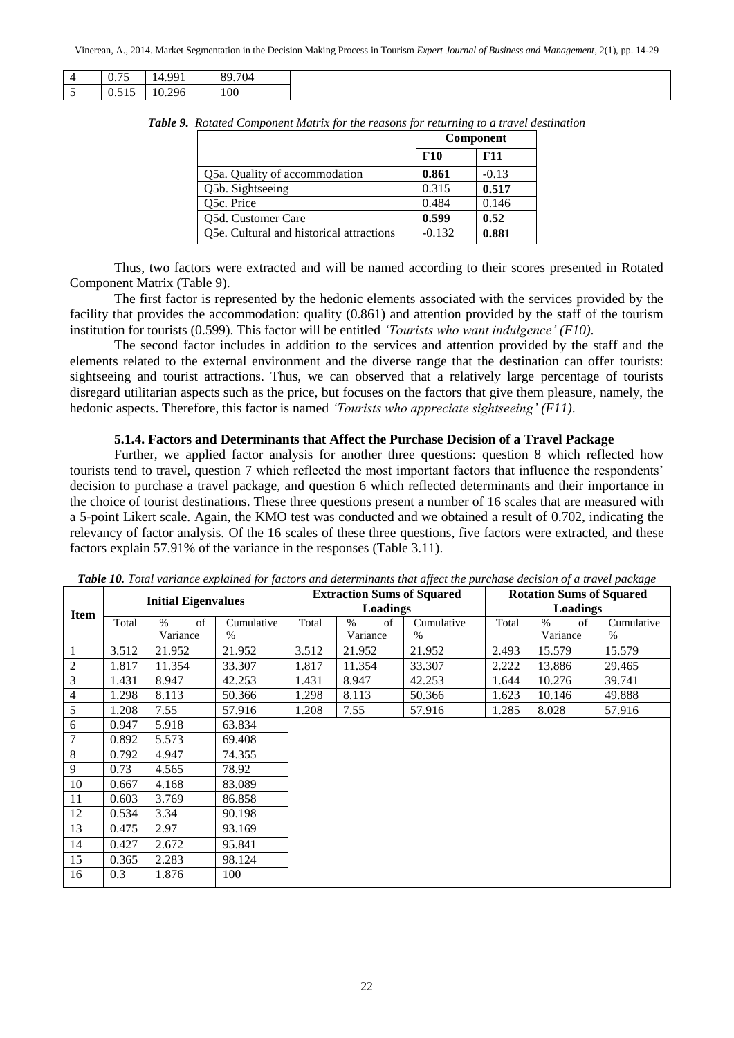| $\prime$ | $\overline{\phantom{0}}$<br>0.75 | QQ1<br>$\overline{\phantom{a}}$<br>. | 89.704 |
|----------|----------------------------------|--------------------------------------|--------|
| ~        | ---<br>$\sim$<br>U.JIJ           | 10.296                               | 100    |

|                                          |          | Component  |
|------------------------------------------|----------|------------|
|                                          | F10      | <b>F11</b> |
| Q5a. Quality of accommodation            | 0.861    | $-0.13$    |
| Q5b. Sightseeing                         | 0.315    | 0.517      |
| Q5c. Price                               | 0.484    | 0.146      |
| Q5d. Customer Care                       | 0.599    | 0.52       |
| Q5e. Cultural and historical attractions | $-0.132$ | 0.881      |

*Table 9. Rotated Component Matrix for the reasons for returning to a travel destination*

Thus, two factors were extracted and will be named according to their scores presented in Rotated Component Matrix (Table 9).

The first factor is represented by the hedonic elements associated with the services provided by the facility that provides the accommodation: quality (0.861) and attention provided by the staff of the tourism institution for tourists (0.599). This factor will be entitled *'Tourists who want indulgence' (F10)*.

The second factor includes in addition to the services and attention provided by the staff and the elements related to the external environment and the diverse range that the destination can offer tourists: sightseeing and tourist attractions. Thus, we can observed that a relatively large percentage of tourists disregard utilitarian aspects such as the price, but focuses on the factors that give them pleasure, namely, the hedonic aspects. Therefore, this factor is named *'Tourists who appreciate sightseeing' (F11)*.

#### **5.1.4. Factors and Determinants that Affect the Purchase Decision of a Travel Package**

Further, we applied factor analysis for another three questions: question 8 which reflected how tourists tend to travel, question 7 which reflected the most important factors that influence the respondents' decision to purchase a travel package, and question 6 which reflected determinants and their importance in the choice of tourist destinations. These three questions present a number of 16 scales that are measured with a 5-point Likert scale. Again, the KMO test was conducted and we obtained a result of 0.702, indicating the relevancy of factor analysis. Of the 16 scales of these three questions, five factors were extracted, and these factors explain 57.91% of the variance in the responses (Table 3.11).

|             | <b>Initial Eigenvalues</b> |            |            | <b>Extraction Sums of Squared</b> |            |            | <b>Rotation Sums of Squared</b> |            |            |
|-------------|----------------------------|------------|------------|-----------------------------------|------------|------------|---------------------------------|------------|------------|
| <b>Item</b> |                            |            |            | Loadings                          |            |            | Loadings                        |            |            |
|             | Total                      | of<br>$\%$ | Cumulative | Total                             | $\%$<br>of | Cumulative | Total                           | $\%$<br>of | Cumulative |
|             |                            | Variance   | $\%$       |                                   | Variance   | $\%$       |                                 | Variance   | %          |
| 1           | 3.512                      | 21.952     | 21.952     | 3.512                             | 21.952     | 21.952     | 2.493                           | 15.579     | 15.579     |
| $\sqrt{2}$  | 1.817                      | 11.354     | 33.307     | 1.817                             | 11.354     | 33.307     | 2.222                           | 13.886     | 29.465     |
| 3           | 1.431                      | 8.947      | 42.253     | 1.431                             | 8.947      | 42.253     | 1.644                           | 10.276     | 39.741     |
| 4           | 1.298                      | 8.113      | 50.366     | 1.298                             | 8.113      | 50.366     | 1.623                           | 10.146     | 49.888     |
| 5           | 1.208                      | 7.55       | 57.916     | 1.208                             | 7.55       | 57.916     | 1.285                           | 8.028      | 57.916     |
| 6           | 0.947                      | 5.918      | 63.834     |                                   |            |            |                                 |            |            |
| 7           | 0.892                      | 5.573      | 69.408     |                                   |            |            |                                 |            |            |
| 8           | 0.792                      | 4.947      | 74.355     |                                   |            |            |                                 |            |            |
| 9           | 0.73                       | 4.565      | 78.92      |                                   |            |            |                                 |            |            |
| 10          | 0.667                      | 4.168      | 83.089     |                                   |            |            |                                 |            |            |
| 11          | 0.603                      | 3.769      | 86.858     |                                   |            |            |                                 |            |            |
| 12          | 0.534                      | 3.34       | 90.198     |                                   |            |            |                                 |            |            |
| 13          | 0.475                      | 2.97       | 93.169     |                                   |            |            |                                 |            |            |
| 14          | 0.427                      | 2.672      | 95.841     |                                   |            |            |                                 |            |            |
| 15          | 0.365                      | 2.283      | 98.124     |                                   |            |            |                                 |            |            |
| 16          | 0.3                        | 1.876      | 100        |                                   |            |            |                                 |            |            |

*Table 10. Total variance explained for factors and determinants that affect the purchase decision of a travel package*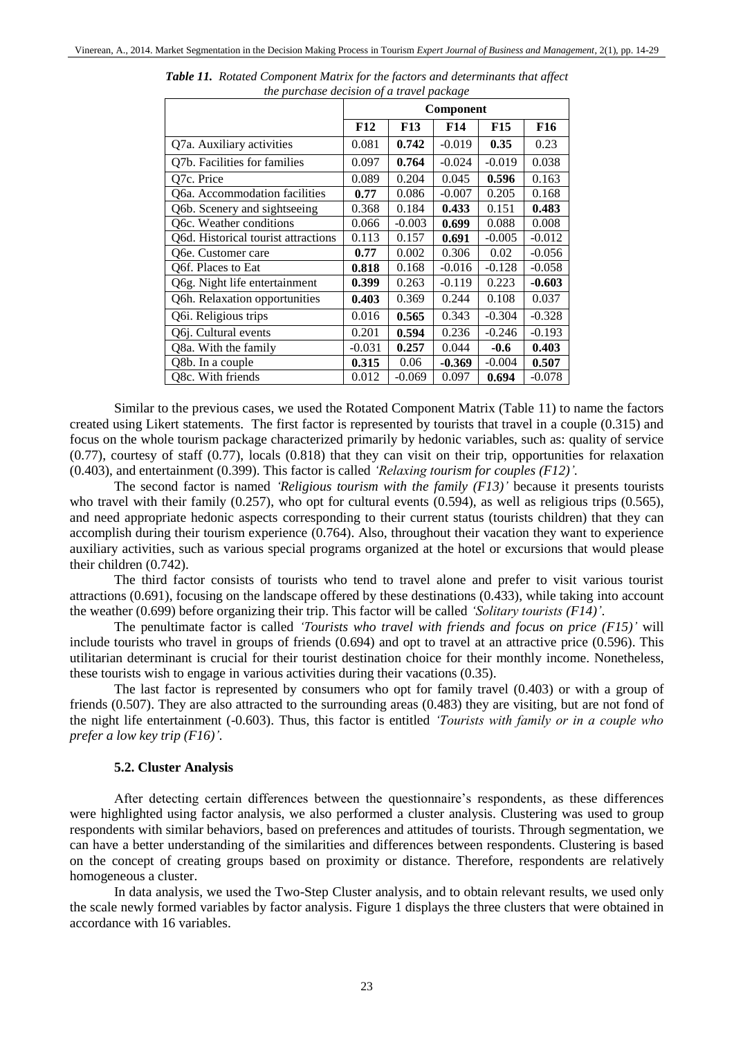|                                     | Component  |            |          |            |          |
|-------------------------------------|------------|------------|----------|------------|----------|
|                                     | <b>F12</b> | <b>F13</b> | F14      | <b>F15</b> | F16      |
| Q7a. Auxiliary activities           | 0.081      | 0.742      | $-0.019$ | 0.35       | 0.23     |
| Q7b. Facilities for families        | 0.097      | 0.764      | $-0.024$ | $-0.019$   | 0.038    |
| O7c. Price                          | 0.089      | 0.204      | 0.045    | 0.596      | 0.163    |
| O6a. Accommodation facilities       | 0.77       | 0.086      | $-0.007$ | 0.205      | 0.168    |
| Q6b. Scenery and sightseeing        | 0.368      | 0.184      | 0.433    | 0.151      | 0.483    |
| Q6c. Weather conditions             | 0.066      | $-0.003$   | 0.699    | 0.088      | 0.008    |
| O6d. Historical tourist attractions | 0.113      | 0.157      | 0.691    | $-0.005$   | $-0.012$ |
| O6e. Customer care                  | 0.77       | 0.002      | 0.306    | 0.02       | $-0.056$ |
| O6f. Places to Eat                  | 0.818      | 0.168      | $-0.016$ | $-0.128$   | $-0.058$ |
| Q6g. Night life entertainment       | 0.399      | 0.263      | $-0.119$ | 0.223      | $-0.603$ |
| Q6h. Relaxation opportunities       | 0.403      | 0.369      | 0.244    | 0.108      | 0.037    |
| Q6 <i>i</i> . Religious trips       | 0.016      | 0.565      | 0.343    | $-0.304$   | $-0.328$ |
| Q6j. Cultural events                | 0.201      | 0.594      | 0.236    | $-0.246$   | $-0.193$ |
| Q8a. With the family                | $-0.031$   | 0.257      | 0.044    | $-0.6$     | 0.403    |
| Q8b. In a couple                    | 0.315      | 0.06       | $-0.369$ | $-0.004$   | 0.507    |
| Q8c. With friends                   | 0.012      | $-0.069$   | 0.097    | 0.694      | $-0.078$ |

*Table 11. Rotated Component Matrix for the factors and determinants that affect the purchase decision of a travel package*

Similar to the previous cases, we used the Rotated Component Matrix (Table 11) to name the factors created using Likert statements. The first factor is represented by tourists that travel in a couple (0.315) and focus on the whole tourism package characterized primarily by hedonic variables, such as: quality of service (0.77), courtesy of staff (0.77), locals (0.818) that they can visit on their trip, opportunities for relaxation (0.403), and entertainment (0.399). This factor is called *'Relaxing tourism for couples (F12)'.* 

The second factor is named *'Religious tourism with the family (F13)'* because it presents tourists who travel with their family  $(0.257)$ , who opt for cultural events  $(0.594)$ , as well as religious trips  $(0.565)$ , and need appropriate hedonic aspects corresponding to their current status (tourists children) that they can accomplish during their tourism experience (0.764). Also, throughout their vacation they want to experience auxiliary activities, such as various special programs organized at the hotel or excursions that would please their children (0.742).

The third factor consists of tourists who tend to travel alone and prefer to visit various tourist attractions (0.691), focusing on the landscape offered by these destinations (0.433), while taking into account the weather (0.699) before organizing their trip. This factor will be called *'Solitary tourists (F14)'*.

The penultimate factor is called *'Tourists who travel with friends and focus on price (F15)'* will include tourists who travel in groups of friends (0.694) and opt to travel at an attractive price (0.596). This utilitarian determinant is crucial for their tourist destination choice for their monthly income. Nonetheless, these tourists wish to engage in various activities during their vacations (0.35).

The last factor is represented by consumers who opt for family travel (0.403) or with a group of friends (0.507). They are also attracted to the surrounding areas (0.483) they are visiting, but are not fond of the night life entertainment (-0.603). Thus, this factor is entitled *'Tourists with family or in a couple who prefer a low key trip (F16)'.*

#### **5.2. Cluster Analysis**

After detecting certain differences between the questionnaire's respondents, as these differences were highlighted using factor analysis, we also performed a cluster analysis. Clustering was used to group respondents with similar behaviors, based on preferences and attitudes of tourists. Through segmentation, we can have a better understanding of the similarities and differences between respondents. Clustering is based on the concept of creating groups based on proximity or distance. Therefore, respondents are relatively homogeneous a cluster.

In data analysis, we used the Two-Step Cluster analysis, and to obtain relevant results, we used only the scale newly formed variables by factor analysis. Figure 1 displays the three clusters that were obtained in accordance with 16 variables.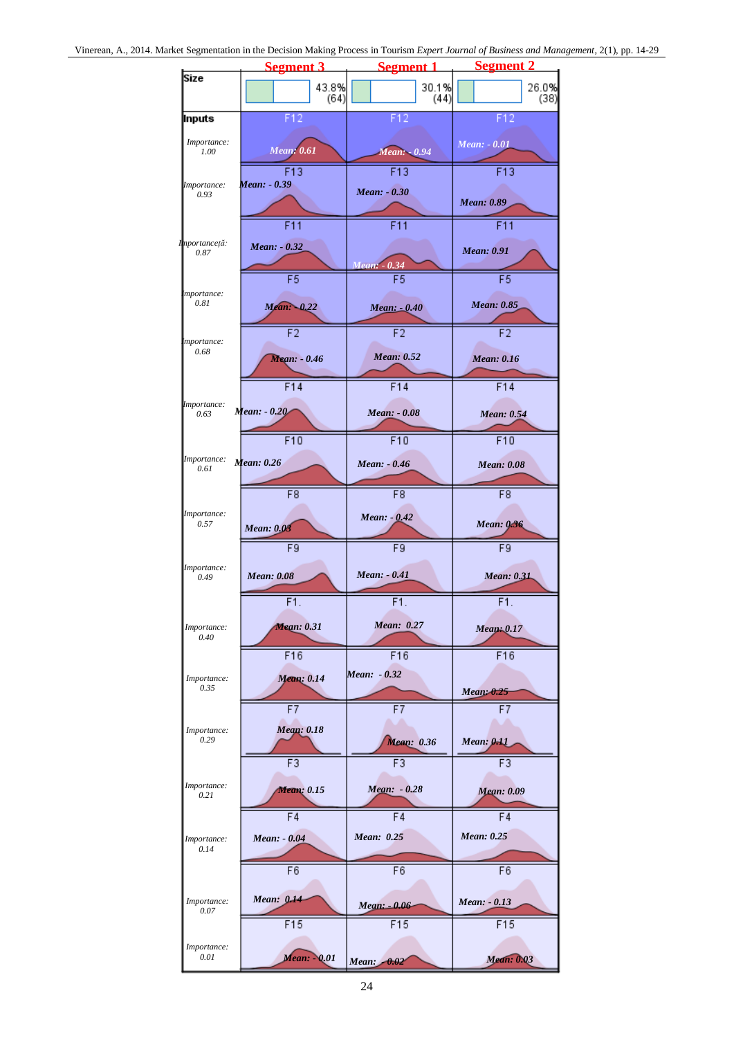|                             | <b>Segment 3</b>  | <b>Segment 1</b>    | <b>Segment 2</b>                     |
|-----------------------------|-------------------|---------------------|--------------------------------------|
| Size                        | 43.8%             | 30.1%               | 26.0%                                |
|                             | (64)              | (44)                | (38)                                 |
| Inputs                      | F12               | F12                 | F12                                  |
| Importance:<br>1.00         | <b>Mean: 0.61</b> | Mean: - 0.94        | Mean: - 0.01                         |
| <i>Importance:</i>          | F13               | F13                 | F13                                  |
| 0.93                        | Mean: - 0.39      | Mean: - 0.30        | <b>Mean: 0.89</b>                    |
| I <mark>mportanceță:</mark> | F11               | F11                 | F11                                  |
| 0.87                        | Mean: - 0.32      |                     | <b>Mean: 0.91</b>                    |
| mportance:<br>0.81          | F5<br>Mean: -0.22 | Mean:<br>0.34<br>F5 | $\overline{F5}$<br><b>Mean: 0.85</b> |
|                             |                   | Mean: -0.40         |                                      |
| mportance:                  | $\overline{F2}$   | $\overline{F2}$     | $\overline{F2}$                      |
| 0.68                        | Mean: - 0.46      | <b>Mean: 0.52</b>   | <b>Mean: 0.16</b>                    |
| <i>Importance</i> :         | F14               | F14                 | F14                                  |
| 0.63                        | Mean: - 0.20      | Mean: - 0.08        | <b>Mean: 0.54</b>                    |
|                             | F10               | F10                 | F10                                  |
| Importance:<br>0.61         | Mean: 0.26        | Mean: - 0.46        | <b>Mean: 0.08</b>                    |
| Importance:                 | F8                | $\overline{F8}$     | F8                                   |
| 0.57                        | <b>Mean: 0.03</b> | $Mean: -0.42$       | <b>Mean: 0.36</b>                    |
| Importance:                 | F9                | $\overline{F9}$     | F9                                   |
| 0.49                        | <b>Mean: 0.08</b> | Mean: - 0.41        | <b>Mean: 0.31</b>                    |
| Importance:                 | F1.               | F1.                 | F1.                                  |
| $0.40\,$                    | <b>Mean: 0.31</b> | Mean: 0.27          | Mean: 0.17                           |
| Importance:                 | F16               | F16                 | F16                                  |
| 0.35                        | Mean: 0.14        | Mean: - 0.32        | Mean: 0.25                           |
| Importance:                 | $\overline{F7}$   | $\overline{F7}$     | $\overline{F7}$                      |
| 0.29                        | <b>Mean: 0.18</b> | <b>Mean: 0.36</b>   | Mean: 0.11                           |
| Importance:                 | $\overline{F3}$   | F3                  | F3                                   |
| 0.21                        | Mean: 0.15        | Mean: - 0.28        | Mean: 0.09                           |
| Importance:                 | F <sub>4</sub>    | F <sub>4</sub>      | F <sub>4</sub>                       |
| 0.14                        | Mean: - 0.04      | Mean: 0.25          | Mean: 0.25                           |
| Importance:                 | $\overline{F6}$   | F6                  | $\overline{F6}$                      |
| 0.07                        | Mean: 0.14        | Mean: - 0.06        | Mean: - 0.13                         |
| Importance:                 | F15               | F15                 | F15                                  |
| 0.01                        | Mean: - 0.01      | Mean: $-0.02$       | Mean: 0.03                           |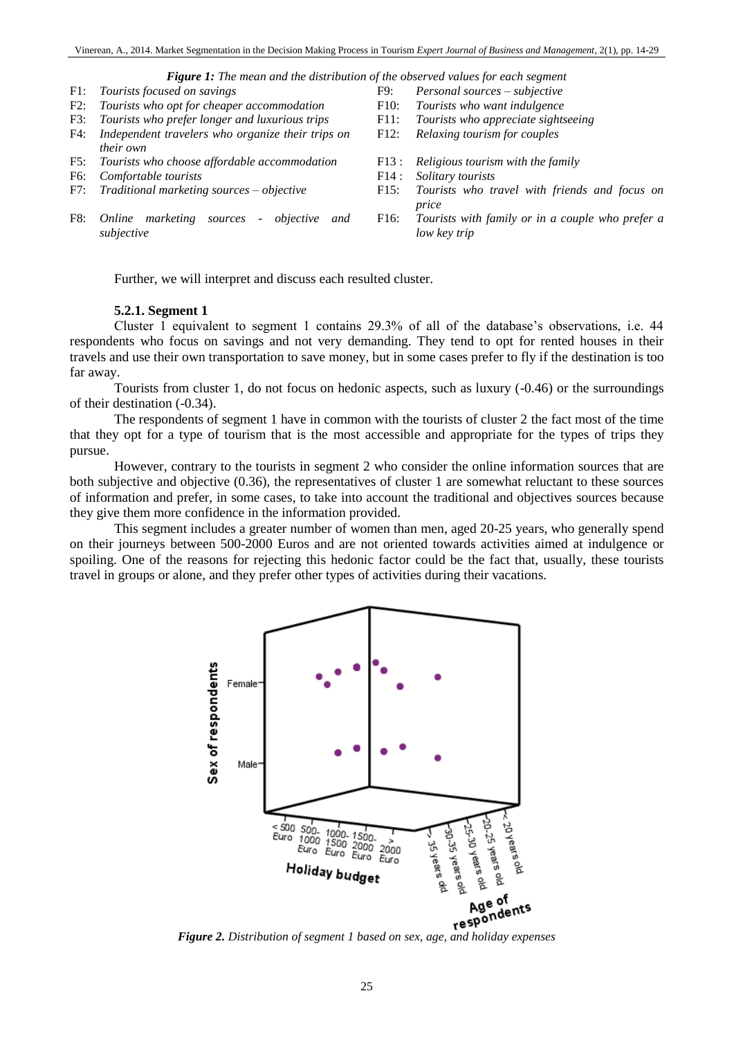# *Figure 1: The mean and the distribution of the observed values for each segment***<br>
F9: Personal sources – subjective<br>
F9: Personal sources – subjective**

- 
- *Tourists who opt for cheaper accommodation* F10: *Tourists who want indulgence*<br> *Tourists who prefer longer and luxurious trips* F11: *Tourists who appreciate sightseeing*
- F3: *Tourists who prefer longer and luxurious trips*
- F4: *Independent travelers who organize their trips on their own*
- F5: *Tourists who choose affordable accommodation* F13 : *Religious tourism with the family*
- F6: *Comfortable tourists* F14 : *Solitary tourists*
- 
- F8: *Online marketing sources - objective and subjective*
- F1: *Tourists focused on savings* F9: *Personal sources – subjective*
	-
	-
	- F12: *Relaxing tourism for couples*
	-
	-
- F7: *Traditional marketing sources – objective* F15: *Tourists who travel with friends and focus on price*
	- F16: *Tourists with family or in a couple who prefer a low key trip*

Further, we will interpret and discuss each resulted cluster.

#### **5.2.1. Segment 1**

Cluster 1 equivalent to segment 1 contains 29.3% of all of the database's observations, i.e. 44 respondents who focus on savings and not very demanding. They tend to opt for rented houses in their travels and use their own transportation to save money, but in some cases prefer to fly if the destination is too far away.

Tourists from cluster 1, do not focus on hedonic aspects, such as luxury (-0.46) or the surroundings of their destination (-0.34).

The respondents of segment 1 have in common with the tourists of cluster 2 the fact most of the time that they opt for a type of tourism that is the most accessible and appropriate for the types of trips they pursue.

However, contrary to the tourists in segment 2 who consider the online information sources that are both subjective and objective (0.36), the representatives of cluster 1 are somewhat reluctant to these sources of information and prefer, in some cases, to take into account the traditional and objectives sources because they give them more confidence in the information provided.

This segment includes a greater number of women than men, aged 20-25 years, who generally spend on their journeys between 500-2000 Euros and are not oriented towards activities aimed at indulgence or spoiling. One of the reasons for rejecting this hedonic factor could be the fact that, usually, these tourists travel in groups or alone, and they prefer other types of activities during their vacations.

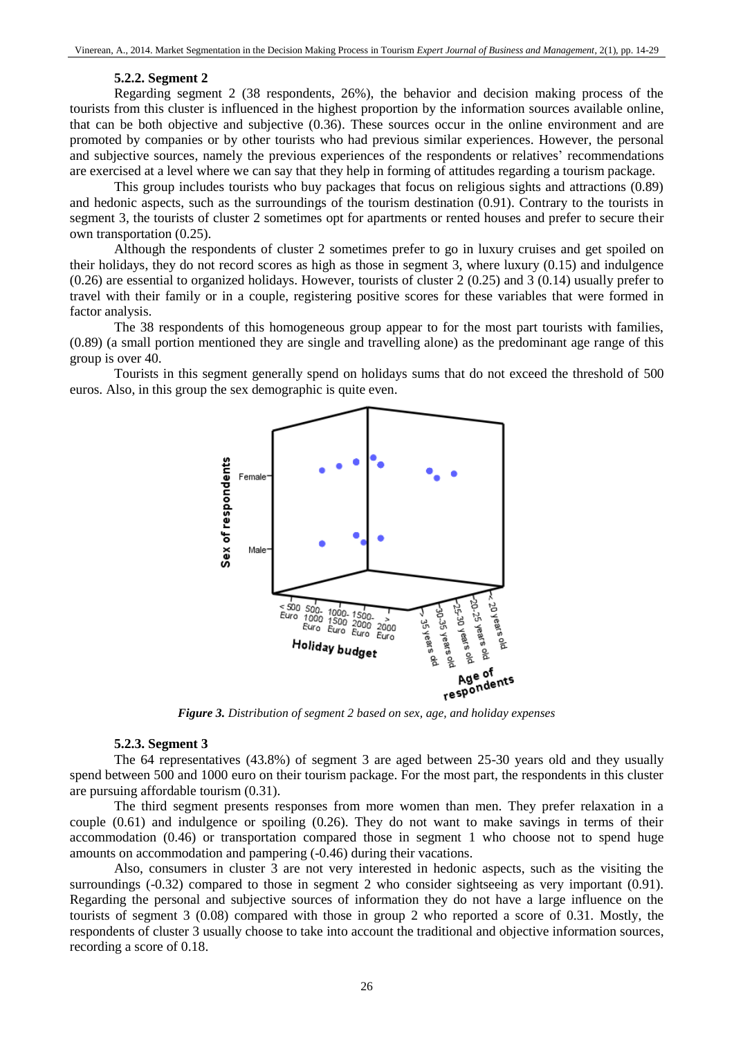#### **5.2.2. Segment 2**

Regarding segment 2 (38 respondents, 26%), the behavior and decision making process of the tourists from this cluster is influenced in the highest proportion by the information sources available online, that can be both objective and subjective (0.36). These sources occur in the online environment and are promoted by companies or by other tourists who had previous similar experiences. However, the personal and subjective sources, namely the previous experiences of the respondents or relatives' recommendations are exercised at a level where we can say that they help in forming of attitudes regarding a tourism package.

This group includes tourists who buy packages that focus on religious sights and attractions (0.89) and hedonic aspects, such as the surroundings of the tourism destination (0.91). Contrary to the tourists in segment 3, the tourists of cluster 2 sometimes opt for apartments or rented houses and prefer to secure their own transportation (0.25).

Although the respondents of cluster 2 sometimes prefer to go in luxury cruises and get spoiled on their holidays, they do not record scores as high as those in segment 3, where luxury (0.15) and indulgence (0.26) are essential to organized holidays. However, tourists of cluster 2 (0.25) and 3 (0.14) usually prefer to travel with their family or in a couple, registering positive scores for these variables that were formed in factor analysis.

The 38 respondents of this homogeneous group appear to for the most part tourists with families, (0.89) (a small portion mentioned they are single and travelling alone) as the predominant age range of this group is over 40.

Tourists in this segment generally spend on holidays sums that do not exceed the threshold of 500 euros. Also, in this group the sex demographic is quite even.



*Figure 3. Distribution of segment 2 based on sex, age, and holiday expenses*

#### **5.2.3. Segment 3**

The 64 representatives (43.8%) of segment 3 are aged between 25-30 years old and they usually spend between 500 and 1000 euro on their tourism package. For the most part, the respondents in this cluster are pursuing affordable tourism (0.31).

The third segment presents responses from more women than men. They prefer relaxation in a couple (0.61) and indulgence or spoiling (0.26). They do not want to make savings in terms of their accommodation (0.46) or transportation compared those in segment 1 who choose not to spend huge amounts on accommodation and pampering (-0.46) during their vacations.

Also, consumers in cluster 3 are not very interested in hedonic aspects, such as the visiting the surroundings (-0.32) compared to those in segment 2 who consider sightseeing as very important (0.91). Regarding the personal and subjective sources of information they do not have a large influence on the tourists of segment 3 (0.08) compared with those in group 2 who reported a score of 0.31. Mostly, the respondents of cluster 3 usually choose to take into account the traditional and objective information sources, recording a score of 0.18.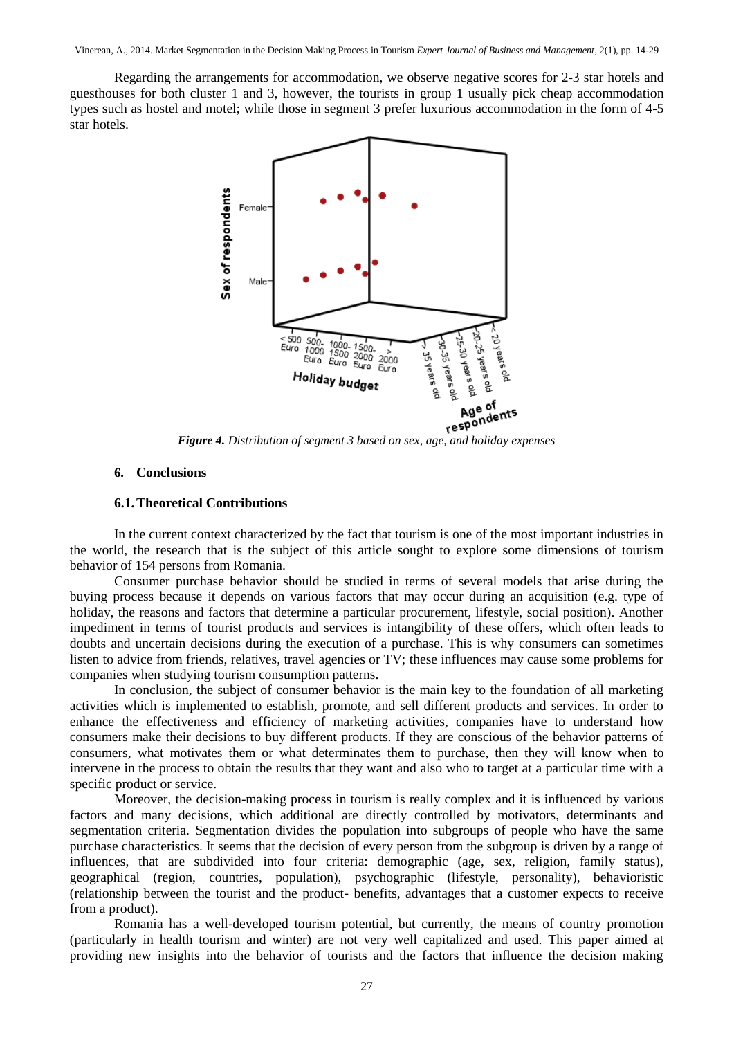Regarding the arrangements for accommodation, we observe negative scores for 2-3 star hotels and guesthouses for both cluster 1 and 3, however, the tourists in group 1 usually pick cheap accommodation types such as hostel and motel; while those in segment 3 prefer luxurious accommodation in the form of 4-5 star hotels.



### **6. Conclusions**

### **6.1.Theoretical Contributions**

In the current context characterized by the fact that tourism is one of the most important industries in the world, the research that is the subject of this article sought to explore some dimensions of tourism behavior of 154 persons from Romania.

Consumer purchase behavior should be studied in terms of several models that arise during the buying process because it depends on various factors that may occur during an acquisition (e.g. type of holiday, the reasons and factors that determine a particular procurement, lifestyle, social position). Another impediment in terms of tourist products and services is intangibility of these offers, which often leads to doubts and uncertain decisions during the execution of a purchase. This is why consumers can sometimes listen to advice from friends, relatives, travel agencies or TV; these influences may cause some problems for companies when studying tourism consumption patterns.

In conclusion, the subject of consumer behavior is the main key to the foundation of all marketing activities which is implemented to establish, promote, and sell different products and services. In order to enhance the effectiveness and efficiency of marketing activities, companies have to understand how consumers make their decisions to buy different products. If they are conscious of the behavior patterns of consumers, what motivates them or what determinates them to purchase, then they will know when to intervene in the process to obtain the results that they want and also who to target at a particular time with a specific product or service.

Moreover, the decision-making process in tourism is really complex and it is influenced by various factors and many decisions, which additional are directly controlled by motivators, determinants and segmentation criteria. Segmentation divides the population into subgroups of people who have the same purchase characteristics. It seems that the decision of every person from the subgroup is driven by a range of influences, that are subdivided into four criteria: demographic (age, sex, religion, family status), geographical (region, countries, population), psychographic (lifestyle, personality), behavioristic (relationship between the tourist and the product- benefits, advantages that a customer expects to receive from a product).

Romania has a well-developed tourism potential, but currently, the means of country promotion (particularly in health tourism and winter) are not very well capitalized and used. This paper aimed at providing new insights into the behavior of tourists and the factors that influence the decision making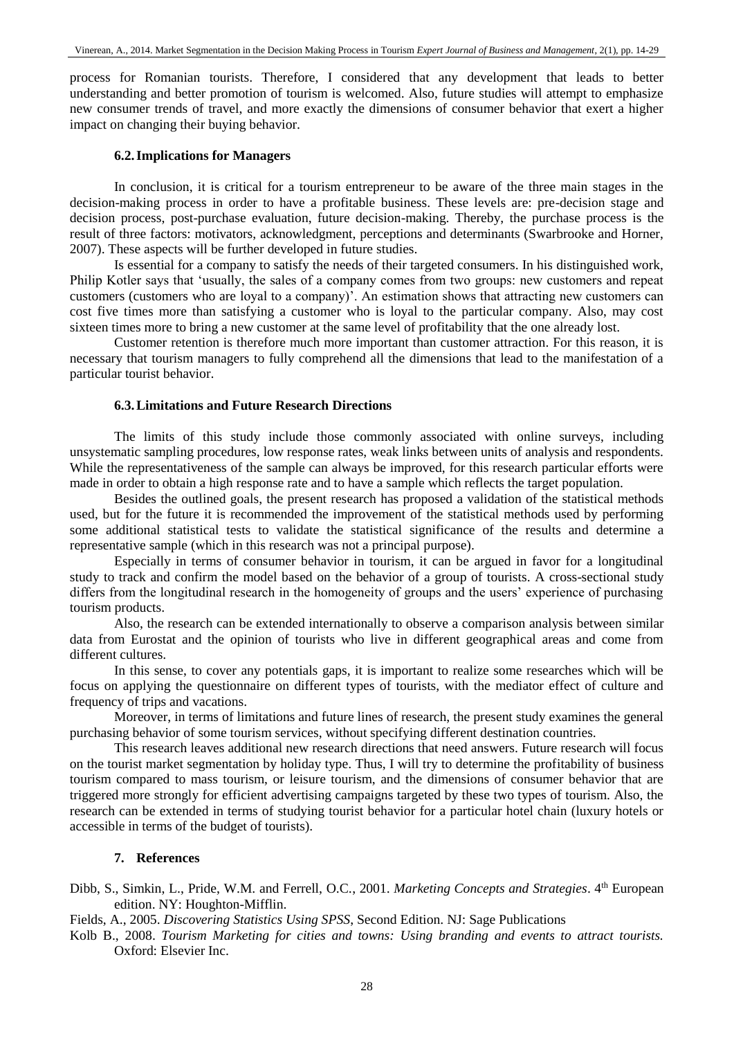process for Romanian tourists. Therefore, I considered that any development that leads to better understanding and better promotion of tourism is welcomed. Also, future studies will attempt to emphasize new consumer trends of travel, and more exactly the dimensions of consumer behavior that exert a higher impact on changing their buying behavior.

# **6.2.Implications for Managers**

In conclusion, it is critical for a tourism entrepreneur to be aware of the three main stages in the decision-making process in order to have a profitable business. These levels are: pre-decision stage and decision process, post-purchase evaluation, future decision-making. Thereby, the purchase process is the result of three factors: motivators, acknowledgment, perceptions and determinants (Swarbrooke and Horner, 2007). These aspects will be further developed in future studies.

Is essential for a company to satisfy the needs of their targeted consumers. In his distinguished work, Philip Kotler says that 'usually, the sales of a company comes from two groups: new customers and repeat customers (customers who are loyal to a company)'. An estimation shows that attracting new customers can cost five times more than satisfying a customer who is loyal to the particular company. Also, may cost sixteen times more to bring a new customer at the same level of profitability that the one already lost.

Customer retention is therefore much more important than customer attraction. For this reason, it is necessary that tourism managers to fully comprehend all the dimensions that lead to the manifestation of a particular tourist behavior.

# **6.3.Limitations and Future Research Directions**

The limits of this study include those commonly associated with online surveys, including unsystematic sampling procedures, low response rates, weak links between units of analysis and respondents. While the representativeness of the sample can always be improved, for this research particular efforts were made in order to obtain a high response rate and to have a sample which reflects the target population.

Besides the outlined goals, the present research has proposed a validation of the statistical methods used, but for the future it is recommended the improvement of the statistical methods used by performing some additional statistical tests to validate the statistical significance of the results and determine a representative sample (which in this research was not a principal purpose).

Especially in terms of consumer behavior in tourism, it can be argued in favor for a longitudinal study to track and confirm the model based on the behavior of a group of tourists. A cross-sectional study differs from the longitudinal research in the homogeneity of groups and the users' experience of purchasing tourism products.

Also, the research can be extended internationally to observe a comparison analysis between similar data from Eurostat and the opinion of tourists who live in different geographical areas and come from different cultures.

In this sense, to cover any potentials gaps, it is important to realize some researches which will be focus on applying the questionnaire on different types of tourists, with the mediator effect of culture and frequency of trips and vacations.

Moreover, in terms of limitations and future lines of research, the present study examines the general purchasing behavior of some tourism services, without specifying different destination countries.

This research leaves additional new research directions that need answers. Future research will focus on the tourist market segmentation by holiday type. Thus, I will try to determine the profitability of business tourism compared to mass tourism, or leisure tourism, and the dimensions of consumer behavior that are triggered more strongly for efficient advertising campaigns targeted by these two types of tourism. Also, the research can be extended in terms of studying tourist behavior for a particular hotel chain (luxury hotels or accessible in terms of the budget of tourists).

# **7. References**

Dibb, S., Simkin, L., Pride, W.M. and Ferrell, O.C., 2001. *Marketing Concepts and Strategies*. 4<sup>th</sup> European edition. NY: Houghton-Mifflin.

Fields, A., 2005. *Discovering Statistics Using SPSS*, Second Edition. NJ: Sage Publications

Kolb B., 2008. *Tourism Marketing for cities and towns: Using branding and events to attract tourists.*  Oxford: Elsevier Inc.